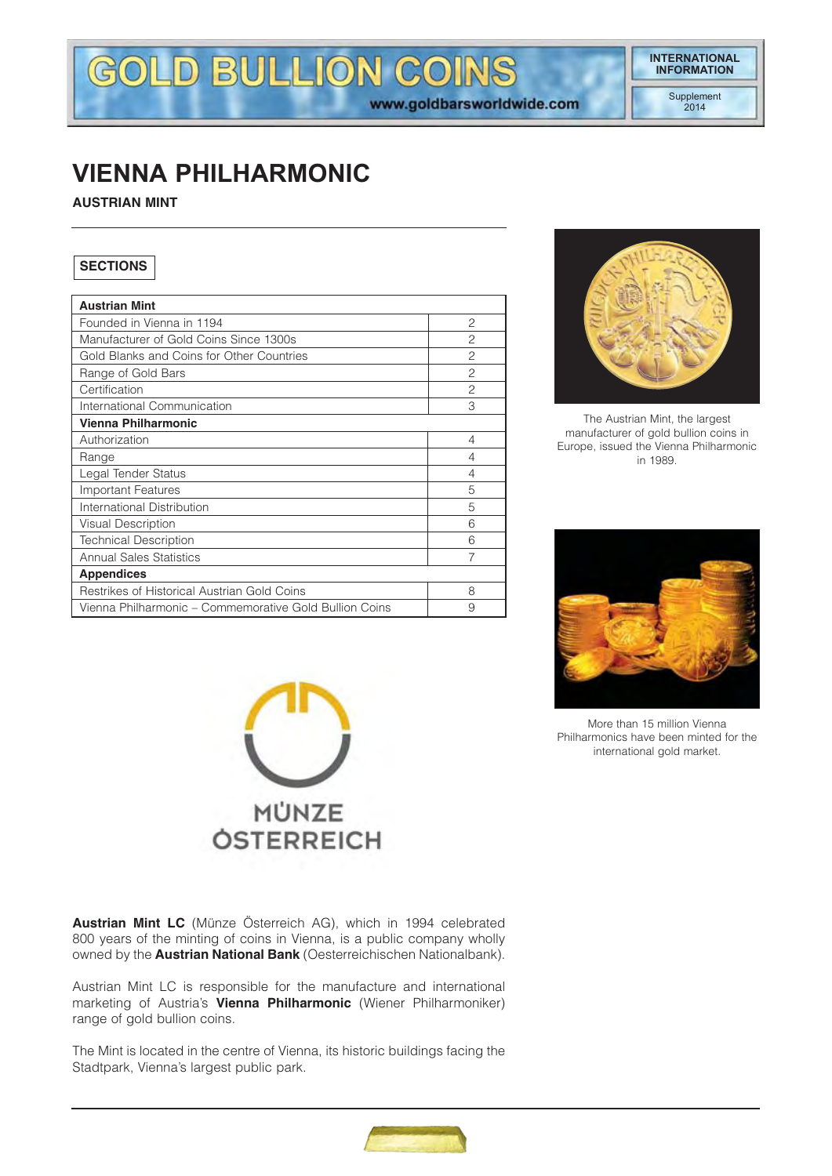# **INTERNATIONAL INFORMATION**

www.goldbarsworldwide.com

# **VIENNA PHILHARMONIC**

**AUSTRIAN MINT**

# **SECTIONS**

| <b>Austrian Mint</b>                                   |                |
|--------------------------------------------------------|----------------|
| Founded in Vienna in 1194                              | $\overline{c}$ |
| Manufacturer of Gold Coins Since 1300s                 | 2              |
| Gold Blanks and Coins for Other Countries              | $\mathcal{P}$  |
| Range of Gold Bars                                     | $\mathcal{P}$  |
| Certification                                          | 2              |
| International Communication                            | 3              |
| Vienna Philharmonic                                    |                |
| Authorization                                          | 4              |
| Range                                                  | 4              |
| Legal Tender Status                                    | 4              |
| <b>Important Features</b>                              | 5              |
| International Distribution                             | 5              |
| Visual Description                                     | 6              |
| <b>Technical Description</b>                           | 6              |
| <b>Annual Sales Statistics</b>                         | 7              |
| <b>Appendices</b>                                      |                |
| Restrikes of Historical Austrian Gold Coins            | 8              |
| Vienna Philharmonic – Commemorative Gold Bullion Coins | 9              |

GOLD BULLION COINS



The Austrian Mint, the largest manufacturer of gold bullion coins in Europe, issued the Vienna Philharmonic in 1989.



More than 15 million Vienna Philharmonics have been minted for the international gold market.



**Austrian Mint LC** (Münze Österreich AG), which in 1994 celebrated 800 years of the minting of coins in Vienna, is a public company wholly owned by the **Austrian National Bank** (Oesterreichischen Nationalbank).

Austrian Mint LC is responsible for the manufacture and international marketing of Austria's **Vienna Philharmonic** (Wiener Philharmoniker) range of gold bullion coins.

The Mint is located in the centre of Vienna, its historic buildings facing the Stadtpark, Vienna's largest public park.

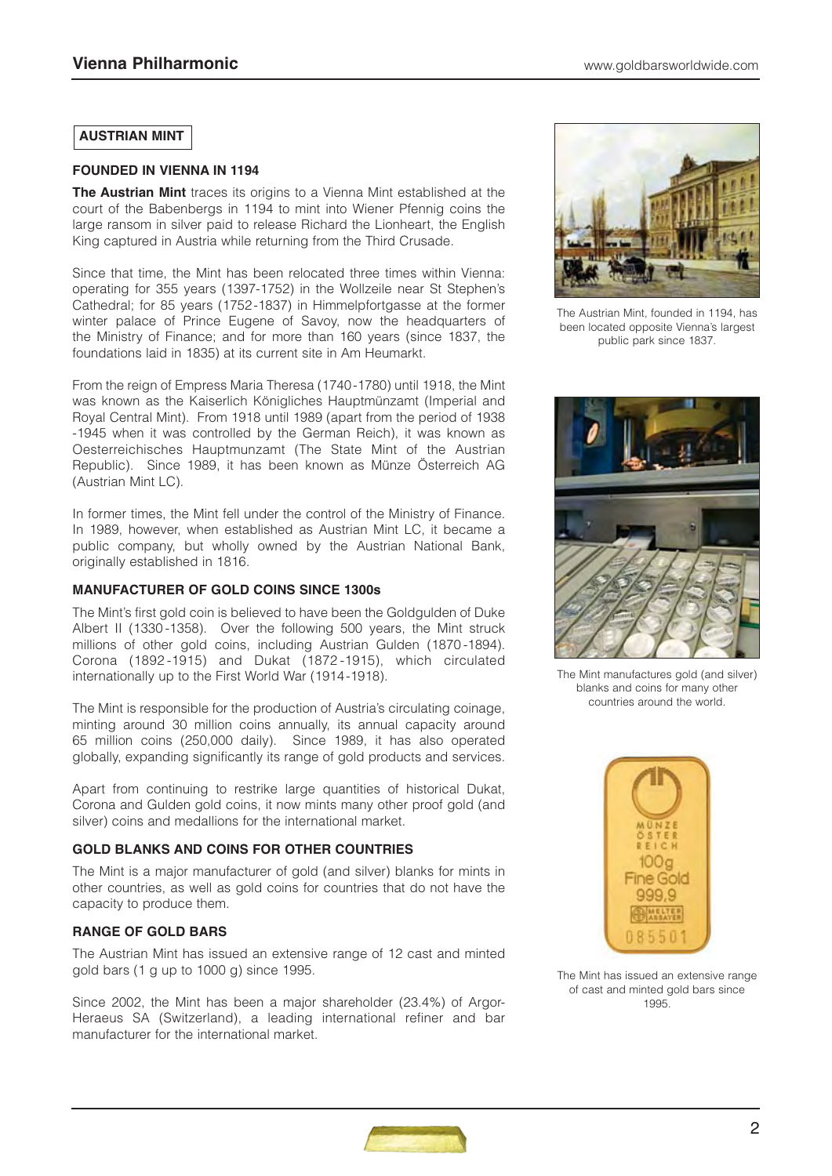# **AUSTRIAN MINT**

#### **FOUNDED IN VIENNA IN 1194**

**The Austrian Mint** traces its origins to a Vienna Mint established at the court of the Babenbergs in 1194 to mint into Wiener Pfennig coins the large ransom in silver paid to release Richard the Lionheart, the English King captured in Austria while returning from the Third Crusade.

Since that time, the Mint has been relocated three times within Vienna: operating for 355 years (1397-1752) in the Wollzeile near St Stephen's Cathedral; for 85 years (1752-1837) in Himmelpfortgasse at the former winter palace of Prince Eugene of Savoy, now the headquarters of the Ministry of Finance; and for more than 160 years (since 1837, the foundations laid in 1835) at its current site in Am Heumarkt.

From the reign of Empress Maria Theresa (1740-1780) until 1918, the Mint was known as the Kaiserlich Königliches Hauptmünzamt (Imperial and Royal Central Mint). From 1918 until 1989 (apart from the period of 1938 -1945 when it was controlled by the German Reich), it was known as Oesterreichisches Hauptmunzamt (The State Mint of the Austrian Republic). Since 1989, it has been known as Münze Österreich AG (Austrian Mint LC).

In former times, the Mint fell under the control of the Ministry of Finance. In 1989, however, when established as Austrian Mint LC, it became a public company, but wholly owned by the Austrian National Bank, originally established in 1816.

# **MANUFACTURER OF GOLD COINS SINCE 1300s**

The Mint's first gold coin is believed to have been the Goldgulden of Duke Albert II (1330 -1358). Over the following 500 years, the Mint struck millions of other gold coins, including Austrian Gulden (1870 -1894). Corona (1892 -1915) and Dukat (1872 -1915), which circulated internationally up to the First World War (1914-1918).

The Mint is responsible for the production of Austria's circulating coinage, minting around 30 million coins annually, its annual capacity around 65 million coins (250,000 daily). Since 1989, it has also operated globally, expanding significantly its range of gold products and services.

Apart from continuing to restrike large quantities of historical Dukat, Corona and Gulden gold coins, it now mints many other proof gold (and silver) coins and medallions for the international market.

# **GOLD BLANKS AND COINS FOR OTHER COUNTRIES**

The Mint is a major manufacturer of gold (and silver) blanks for mints in other countries, as well as gold coins for countries that do not have the capacity to produce them.

# **RANGE OF GOLD BARS**

The Austrian Mint has issued an extensive range of 12 cast and minted gold bars (1 g up to 1000 g) since 1995.

Since 2002, the Mint has been a major shareholder (23.4%) of Argor-Heraeus SA (Switzerland), a leading international refiner and bar manufacturer for the international market.



The Austrian Mint, founded in 1194, has been located opposite Vienna's largest public park since 1837.



The Mint manufactures gold (and silver) blanks and coins for many other countries around the world.



The Mint has issued an extensive range of cast and minted gold bars since 1995.

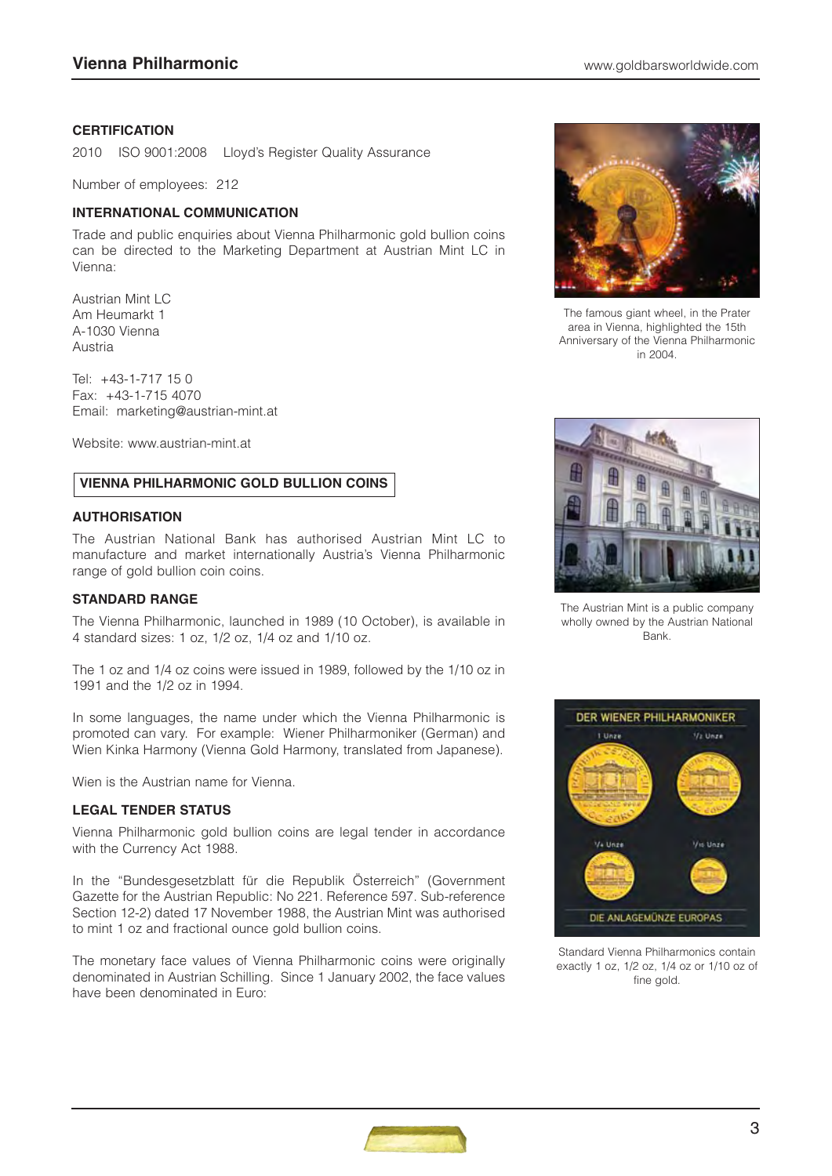#### **CERTIFICATION**

2010 ISO 9001:2008 Lloyd's Register Quality Assurance

Number of employees: 212

#### **INTERNATIONAL COMMUNICATION**

Trade and public enquiries about Vienna Philharmonic gold bullion coins can be directed to the Marketing Department at Austrian Mint LC in Vienna:

Austrian Mint LC Am Heumarkt 1 A-1030 Vienna Austria

Tel: +43-1-717 15 0 Fax: +43-1-715 4070 Email: marketing@austrian-mint.at

Website: www.austrian-mint.at

# **VIENNA PHILHARMONIC GOLD BULLION COINS**

#### **AUTHORISATION**

The Austrian National Bank has authorised Austrian Mint LC to manufacture and market internationally Austria's Vienna Philharmonic range of gold bullion coin coins.

#### **STANDARD RANGE**

The Vienna Philharmonic, launched in 1989 (10 October), is available in 4 standard sizes: 1 oz, 1/2 oz, 1/4 oz and 1/10 oz.

The 1 oz and 1/4 oz coins were issued in 1989, followed by the 1/10 oz in 1991 and the 1/2 oz in 1994.

In some languages, the name under which the Vienna Philharmonic is promoted can vary. For example: Wiener Philharmoniker (German) and Wien Kinka Harmony (Vienna Gold Harmony, translated from Japanese).

Wien is the Austrian name for Vienna.

# **LEGAL TENDER STATUS**

Vienna Philharmonic gold bullion coins are legal tender in accordance with the Currency Act 1988.

In the "Bundesgesetzblatt für die Republik Österreich" (Government Gazette for the Austrian Republic: No 221. Reference 597. Sub-reference Section 12-2) dated 17 November 1988, the Austrian Mint was authorised to mint 1 oz and fractional ounce gold bullion coins.

The monetary face values of Vienna Philharmonic coins were originally denominated in Austrian Schilling. Since 1 January 2002, the face values have been denominated in Euro:



The famous giant wheel, in the Prater area in Vienna, highlighted the 15th Anniversary of the Vienna Philharmonic in 2004.



The Austrian Mint is a public company wholly owned by the Austrian National Bank.



Standard Vienna Philharmonics contain exactly 1 oz, 1/2 oz, 1/4 oz or 1/10 oz of fine gold.

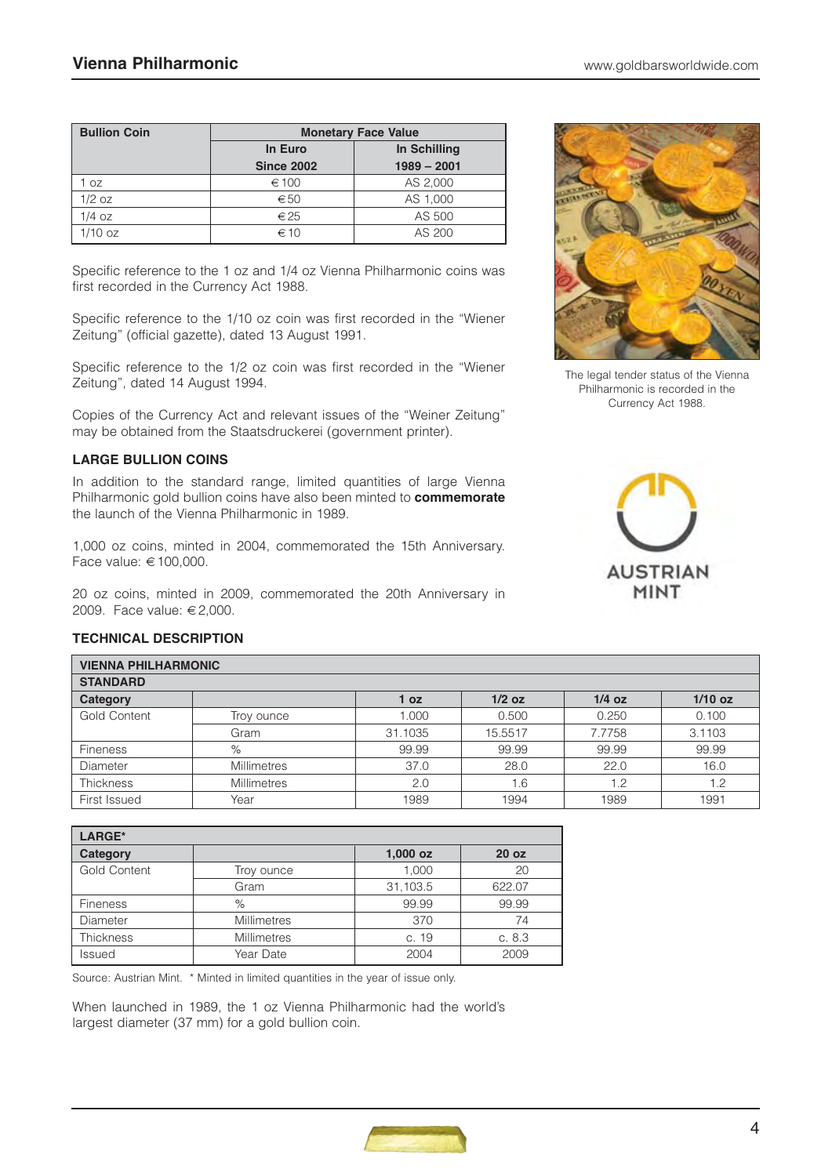| <b>Bullion Coin</b> | <b>Monetary Face Value</b> |               |  |  |
|---------------------|----------------------------|---------------|--|--|
|                     | In Euro                    | In Schilling  |  |  |
|                     | <b>Since 2002</b>          | $1989 - 2001$ |  |  |
| OZ                  | ∈ 100                      | AS 2,000      |  |  |
| $1/2$ oz            | $\epsilon$ 50              | AS 1,000      |  |  |
| $1/4$ oz            | $\epsilon$ 25              | AS 500        |  |  |
| $1/10$ oz           | $\epsilon$ 10              | AS 200        |  |  |

Specific reference to the 1 oz and 1/4 oz Vienna Philharmonic coins was first recorded in the Currency Act 1988.

Specific reference to the 1/10 oz coin was first recorded in the "Wiener Zeitung" (official gazette), dated 13 August 1991.

Specific reference to the 1/2 oz coin was first recorded in the "Wiener Zeitung", dated 14 August 1994.

Copies of the Currency Act and relevant issues of the "Weiner Zeitung" may be obtained from the Staatsdruckerei (government printer).

# **LARGE BULLION COINS**

In addition to the standard range, limited quantities of large Vienna Philharmonic gold bullion coins have also been minted to **commemorate** the launch of the Vienna Philharmonic in 1989.

1,000 oz coins, minted in 2004, commemorated the 15th Anniversary. Face value: € 100,000.

20 oz coins, minted in 2009, commemorated the 20th Anniversary in 2009. Face value: € 2,000.



The legal tender status of the Vienna Philharmonic is recorded in the Currency Act 1988.



# **TECHNICAL DESCRIPTION**

| <b>VIENNA PHILHARMONIC</b> |                                                      |         |         |        |        |  |  |  |
|----------------------------|------------------------------------------------------|---------|---------|--------|--------|--|--|--|
| <b>STANDARD</b>            |                                                      |         |         |        |        |  |  |  |
| Category                   | $1/10$ oz<br>$1/2$ oz<br>$1/4$ oz<br>1 <sub>oz</sub> |         |         |        |        |  |  |  |
| Gold Content               | Troy ounce                                           | 1.000   | 0.500   | 0.250  | 0.100  |  |  |  |
|                            | Gram                                                 | 31.1035 | 15.5517 | 7.7758 | 3.1103 |  |  |  |
| <b>Fineness</b>            | $\%$                                                 | 99.99   | 99.99   | 99.99  | 99.99  |  |  |  |
| Diameter                   | <b>Millimetres</b>                                   | 37.0    | 28.0    | 22.0   | 16.0   |  |  |  |
| <b>Thickness</b>           | <b>Millimetres</b>                                   | 2.0     | 1.6     | 1.2    | 1.2    |  |  |  |
| First Issued               | Year                                                 | 1989    | 1994    | 1989   | 1991   |  |  |  |

| LARGE*              |                    |            |                  |  |  |  |
|---------------------|--------------------|------------|------------------|--|--|--|
| Category            |                    | $1,000$ oz | 20 <sub>oz</sub> |  |  |  |
| <b>Gold Content</b> | Troy ounce         | 1.000      | 20               |  |  |  |
|                     | Gram               | 31,103.5   | 622.07           |  |  |  |
| <b>Fineness</b>     | $\%$               | 99.99      | 99.99            |  |  |  |
| Diameter            | <b>Millimetres</b> | 370        | 74               |  |  |  |
| <b>Thickness</b>    | <b>Millimetres</b> | c. 19      | c.8.3            |  |  |  |
| Issued              | Year Date          | 2004       | 2009             |  |  |  |

Source: Austrian Mint. \* Minted in limited quantities in the year of issue only.

When launched in 1989, the 1 oz Vienna Philharmonic had the world's largest diameter (37 mm) for a gold bullion coin.

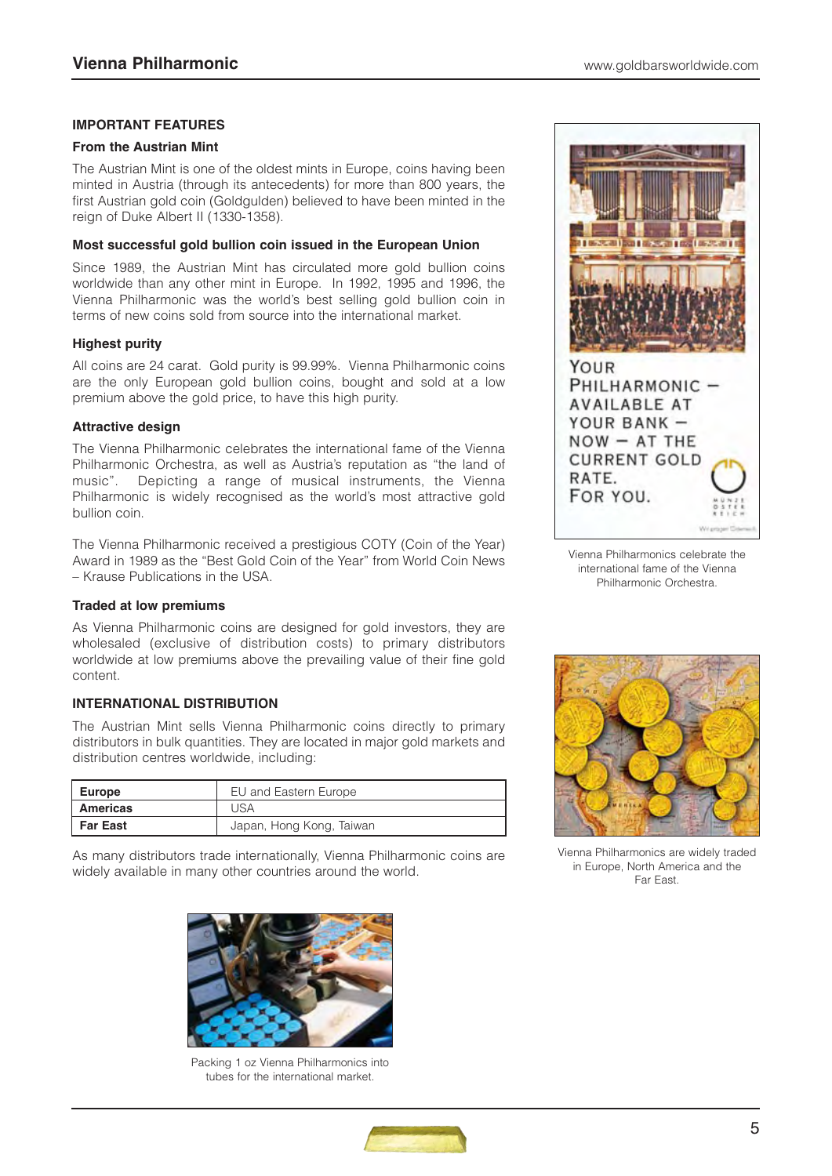# **IMPORTANT FEATURES**

#### **From the Austrian Mint**

The Austrian Mint is one of the oldest mints in Europe, coins having been minted in Austria (through its antecedents) for more than 800 years, the first Austrian gold coin (Goldgulden) believed to have been minted in the reign of Duke Albert II (1330-1358).

#### **Most successful gold bullion coin issued in the European Union**

Since 1989, the Austrian Mint has circulated more gold bullion coins worldwide than any other mint in Europe. In 1992, 1995 and 1996, the Vienna Philharmonic was the world's best selling gold bullion coin in terms of new coins sold from source into the international market.

#### **Highest purity**

All coins are 24 carat. Gold purity is 99.99%. Vienna Philharmonic coins are the only European gold bullion coins, bought and sold at a low premium above the gold price, to have this high purity.

# **Attractive design**

The Vienna Philharmonic celebrates the international fame of the Vienna Philharmonic Orchestra, as well as Austria's reputation as "the land of music". Depicting a range of musical instruments, the Vienna Philharmonic is widely recognised as the world's most attractive gold bullion coin.

The Vienna Philharmonic received a prestigious COTY (Coin of the Year) Award in 1989 as the "Best Gold Coin of the Year" from World Coin News – Krause Publications in the USA.

#### **Traded at low premiums**

As Vienna Philharmonic coins are designed for gold investors, they are wholesaled (exclusive of distribution costs) to primary distributors worldwide at low premiums above the prevailing value of their fine gold content.

# **INTERNATIONAL DISTRIBUTION**

The Austrian Mint sells Vienna Philharmonic coins directly to primary distributors in bulk quantities. They are located in major gold markets and distribution centres worldwide, including:

| Europe          | EU and Eastern Europe    |
|-----------------|--------------------------|
| <b>Americas</b> | USA                      |
| <b>Far East</b> | Japan, Hong Kong, Taiwan |

As many distributors trade internationally, Vienna Philharmonic coins are widely available in many other countries around the world.



Packing 1 oz Vienna Philharmonics into tubes for the international market.



Vienna Philharmonics celebrate the international fame of the Vienna Philharmonic Orchestra.



Vienna Philharmonics are widely traded in Europe, North America and the Far East.

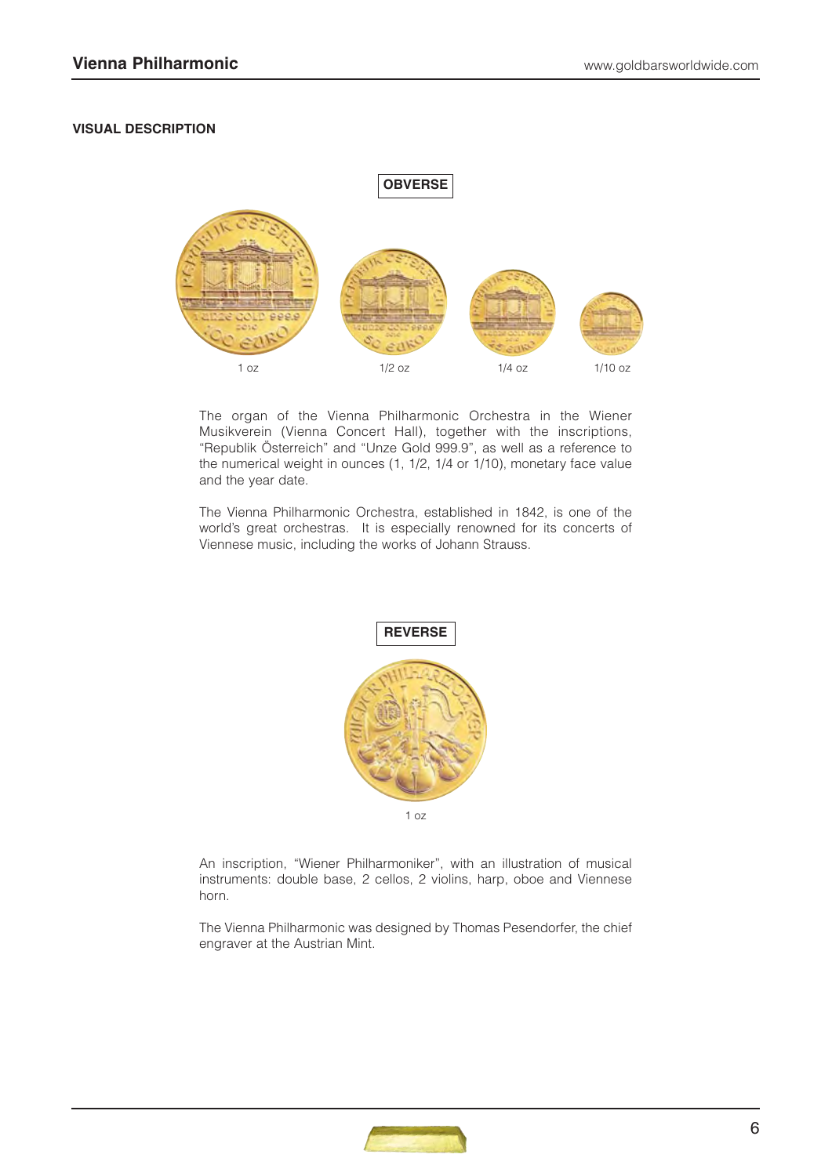#### **VISUAL DESCRIPTION**



The organ of the Vienna Philharmonic Orchestra in the Wiener Musikverein (Vienna Concert Hall), together with the inscriptions, "Republik Österreich" and "Unze Gold 999.9", as well as a reference to the numerical weight in ounces (1, 1/2, 1/4 or 1/10), monetary face value and the year date.

The Vienna Philharmonic Orchestra, established in 1842, is one of the world's great orchestras. It is especially renowned for its concerts of Viennese music, including the works of Johann Strauss.



An inscription, "Wiener Philharmoniker", with an illustration of musical instruments: double base, 2 cellos, 2 violins, harp, oboe and Viennese horn.

The Vienna Philharmonic was designed by Thomas Pesendorfer, the chief engraver at the Austrian Mint.

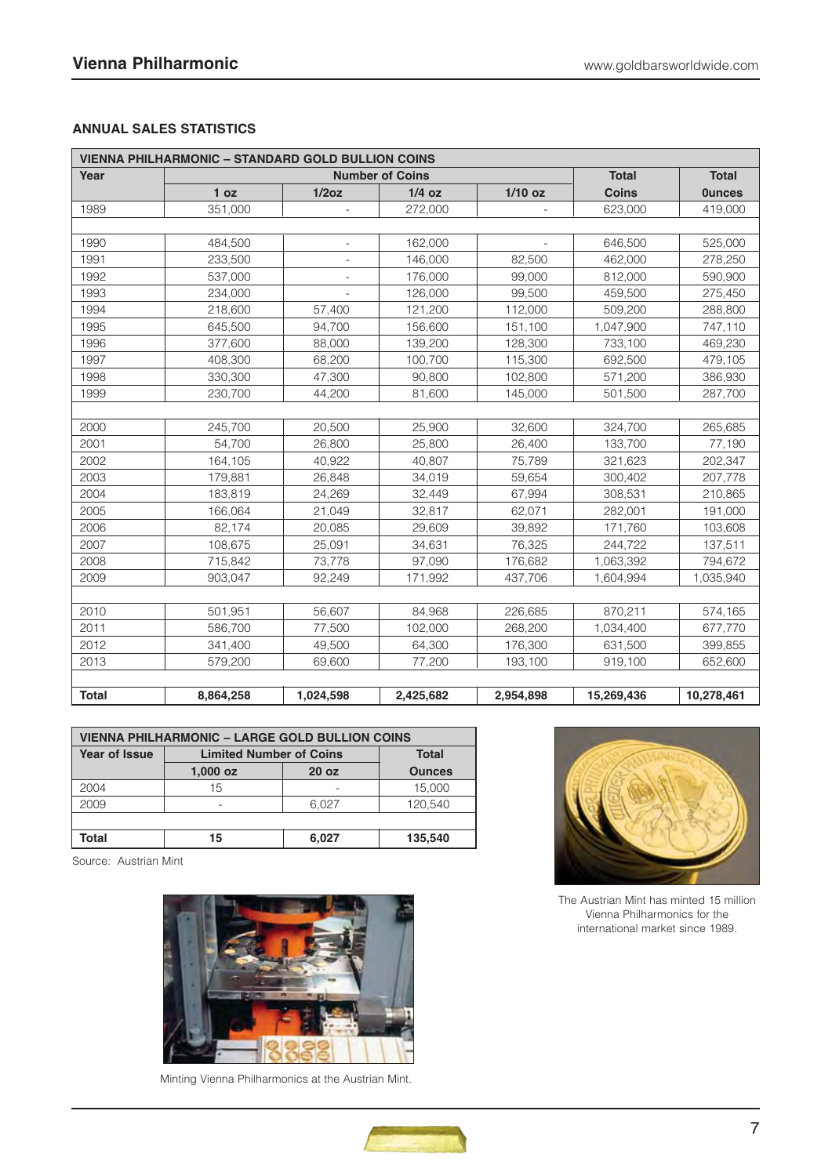# **ANNUAL SALES STATISTICS**

| <b>VIENNA PHILHARMONIC - STANDARD GOLD BULLION COINS</b> |                        |           |           |                          |              |               |
|----------------------------------------------------------|------------------------|-----------|-----------|--------------------------|--------------|---------------|
| Year                                                     | <b>Number of Coins</b> |           |           | <b>Total</b>             | <b>Total</b> |               |
|                                                          | 1 <sub>oz</sub>        | 1/2oz     | $1/4$ oz  | $1/10$ oz                | <b>Coins</b> | <b>Ounces</b> |
| 1989                                                     | 351,000                |           | 272,000   |                          | 623,000      | 419,000       |
|                                                          |                        |           |           |                          |              |               |
| 1990                                                     | 484,500                |           | 162,000   | $\overline{\phantom{m}}$ | 646,500      | 525,000       |
| 1991                                                     | 233,500                |           | 146,000   | 82,500                   | 462,000      | 278,250       |
| 1992                                                     | 537,000                |           | 176,000   | 99,000                   | 812,000      | 590,900       |
| 1993                                                     | 234,000                |           | 126,000   | 99,500                   | 459,500      | 275,450       |
| 1994                                                     | 218,600                | 57,400    | 121,200   | 112,000                  | 509,200      | 288,800       |
| 1995                                                     | 645,500                | 94,700    | 156,600   | 151,100                  | 1,047,900    | 747,110       |
| 1996                                                     | 377,600                | 88,000    | 139,200   | 128,300                  | 733,100      | 469,230       |
| 1997                                                     | 408,300                | 68,200    | 100,700   | 115,300                  | 692,500      | 479,105       |
| 1998                                                     | 330,300                | 47.300    | 90.800    | 102,800                  | 571,200      | 386,930       |
| 1999                                                     | 230,700                | 44,200    | 81,600    | 145,000                  | 501,500      | 287,700       |
|                                                          |                        |           |           |                          |              |               |
| 2000                                                     | 245,700                | 20,500    | 25,900    | 32,600                   | 324,700      | 265,685       |
| 2001                                                     | 54.700                 | 26,800    | 25,800    | 26,400                   | 133,700      | 77,190        |
| 2002                                                     | 164,105                | 40,922    | 40,807    | 75,789                   | 321,623      | 202,347       |
| 2003                                                     | 179,881                | 26,848    | 34,019    | 59,654                   | 300,402      | 207,778       |
| 2004                                                     | 183,819                | 24,269    | 32,449    | 67,994                   | 308,531      | 210,865       |
| 2005                                                     | 166.064                | 21,049    | 32,817    | 62,071                   | 282,001      | 191,000       |
| 2006                                                     | 82,174                 | 20,085    | 29,609    | 39,892                   | 171,760      | 103,608       |
| 2007                                                     | 108,675                | 25,091    | 34,631    | 76,325                   | 244,722      | 137,511       |
| 2008                                                     | 715,842                | 73,778    | 97,090    | 176,682                  | 1,063,392    | 794,672       |
| 2009                                                     | 903,047                | 92,249    | 171,992   | 437,706                  | 1,604,994    | 1,035,940     |
|                                                          |                        |           |           |                          |              |               |
| 2010                                                     | 501,951                | 56,607    | 84,968    | 226,685                  | 870,211      | 574,165       |
| 2011                                                     | 586,700                | 77,500    | 102,000   | 268,200                  | 1,034,400    | 677,770       |
| 2012                                                     | 341,400                | 49,500    | 64,300    | 176,300                  | 631,500      | 399,855       |
| 2013                                                     | 579,200                | 69,600    | 77,200    | 193,100                  | 919,100      | 652,600       |
|                                                          |                        |           |           |                          |              |               |
| <b>Total</b>                                             | 8,864,258              | 1,024,598 | 2,425,682 | 2,954,898                | 15,269,436   | 10,278,461    |

| <b>VIENNA PHILHARMONIC - LARGE GOLD BULLION COINS</b> |                                                |                  |         |  |  |  |
|-------------------------------------------------------|------------------------------------------------|------------------|---------|--|--|--|
| Year of Issue                                         | <b>Limited Number of Coins</b><br><b>Total</b> |                  |         |  |  |  |
|                                                       | $1,000$ oz                                     | 20 <sub>oz</sub> |         |  |  |  |
| 2004                                                  | 15                                             |                  | 15,000  |  |  |  |
| 2009                                                  | ۰                                              | 6.027            | 120.540 |  |  |  |
|                                                       |                                                |                  |         |  |  |  |
| Total                                                 | 15                                             | 6,027            | 135,540 |  |  |  |

Source: Austrian Mint



Minting Vienna Philharmonics at the Austrian Mint.



The Austrian Mint has minted 15 million Vienna Philharmonics for the international market since 1989.

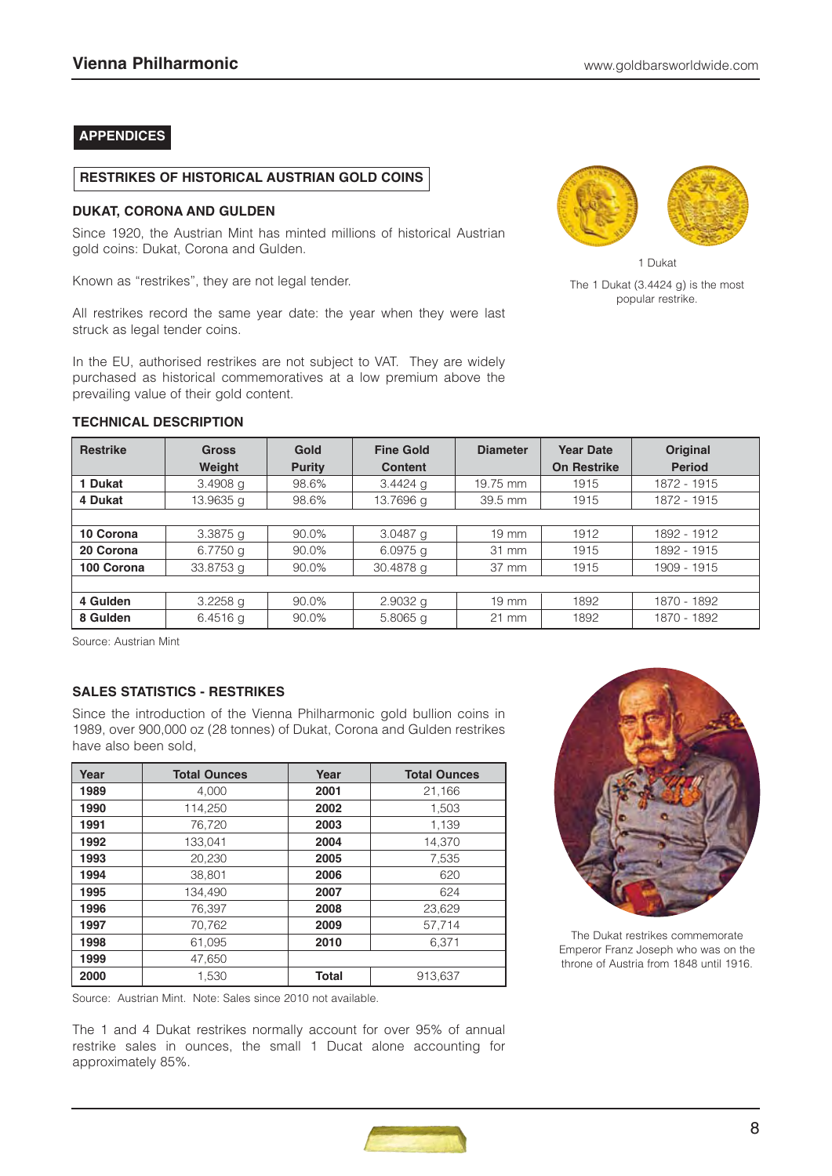# **APPENDICES**

#### **RESTRIKES OF HISTORICAL AUSTRIAN GOLD COINS**

#### **DUKAT, CORONA AND GULDEN**

**TECHNICAL DESCRIPTION**

Since 1920, the Austrian Mint has minted millions of historical Austrian gold coins: Dukat, Corona and Gulden.

Known as "restrikes", they are not legal tender.

All restrikes record the same year date: the year when they were last struck as legal tender coins.

In the EU, authorised restrikes are not subject to VAT. They are widely purchased as historical commemoratives at a low premium above the prevailing value of their gold content.



1 Dukat The 1 Dukat (3.4424 g) is the most popular restrike.

| <b>Restrike</b> | <b>Gross</b> | Gold          | <b>Fine Gold</b> | <b>Diameter</b> | <b>Year Date</b>   | <b>Original</b> |
|-----------------|--------------|---------------|------------------|-----------------|--------------------|-----------------|
|                 | Weight       | <b>Purity</b> | <b>Content</b>   |                 | <b>On Restrike</b> | <b>Period</b>   |
| 1 Dukat         | $3.4908$ g   | 98.6%         | $3.4424$ g       | 19.75 mm        | 1915               | 1872 - 1915     |
| 4 Dukat         | 13.9635 a    | 98.6%         | 13.7696 g        | 39.5 mm         | 1915               | 1872 - 1915     |
|                 |              |               |                  |                 |                    |                 |
| 10 Corona       | $3.3875$ g   | 90.0%         | $3.0487$ g       | $19 \text{ mm}$ | 1912               | 1892 - 1912     |
| 20 Corona       | 6.7750 g     | 90.0%         | $6.0975$ q       | 31 mm           | 1915               | 1892 - 1915     |
| 100 Corona      | 33.8753 g    | 90.0%         | 30.4878 g        | 37 mm           | 1915               | 1909 - 1915     |
|                 |              |               |                  |                 |                    |                 |
| 4 Gulden        | $3.2258$ g   | 90.0%         | $2.9032$ g       | 19 mm           | 1892               | 1870 - 1892     |
| 8 Gulden        | $6.4516$ g   | 90.0%         | $5.8065$ a       | $21 \text{ mm}$ | 1892               | 1870 - 1892     |

Source: Austrian Mint

# **SALES STATISTICS - RESTRIKES**

Since the introduction of the Vienna Philharmonic gold bullion coins in 1989, over 900,000 oz (28 tonnes) of Dukat, Corona and Gulden restrikes have also been sold,

| Year | <b>Total Ounces</b> | Year         | <b>Total Ounces</b> |
|------|---------------------|--------------|---------------------|
| 1989 | 4,000               | 2001         | 21,166              |
| 1990 | 114,250             | 2002         | 1,503               |
| 1991 | 76.720              | 2003         | 1,139               |
| 1992 | 133.041             | 2004         | 14.370              |
| 1993 | 20,230              | 2005         | 7,535               |
| 1994 | 38.801              | 2006         | 620                 |
| 1995 | 134.490             | 2007         | 624                 |
| 1996 | 76,397              | 2008         | 23.629              |
| 1997 | 70,762              | 2009         | 57,714              |
| 1998 | 61,095              | 2010         | 6,371               |
| 1999 | 47,650              |              |                     |
| 2000 | 1,530               | <b>Total</b> | 913,637             |

Source: Austrian Mint. Note: Sales since 2010 not available.

The 1 and 4 Dukat restrikes normally account for over 95% of annual restrike sales in ounces, the small 1 Ducat alone accounting for approximately 85%.



The Dukat restrikes commemorate Emperor Franz Joseph who was on the throne of Austria from 1848 until 1916.